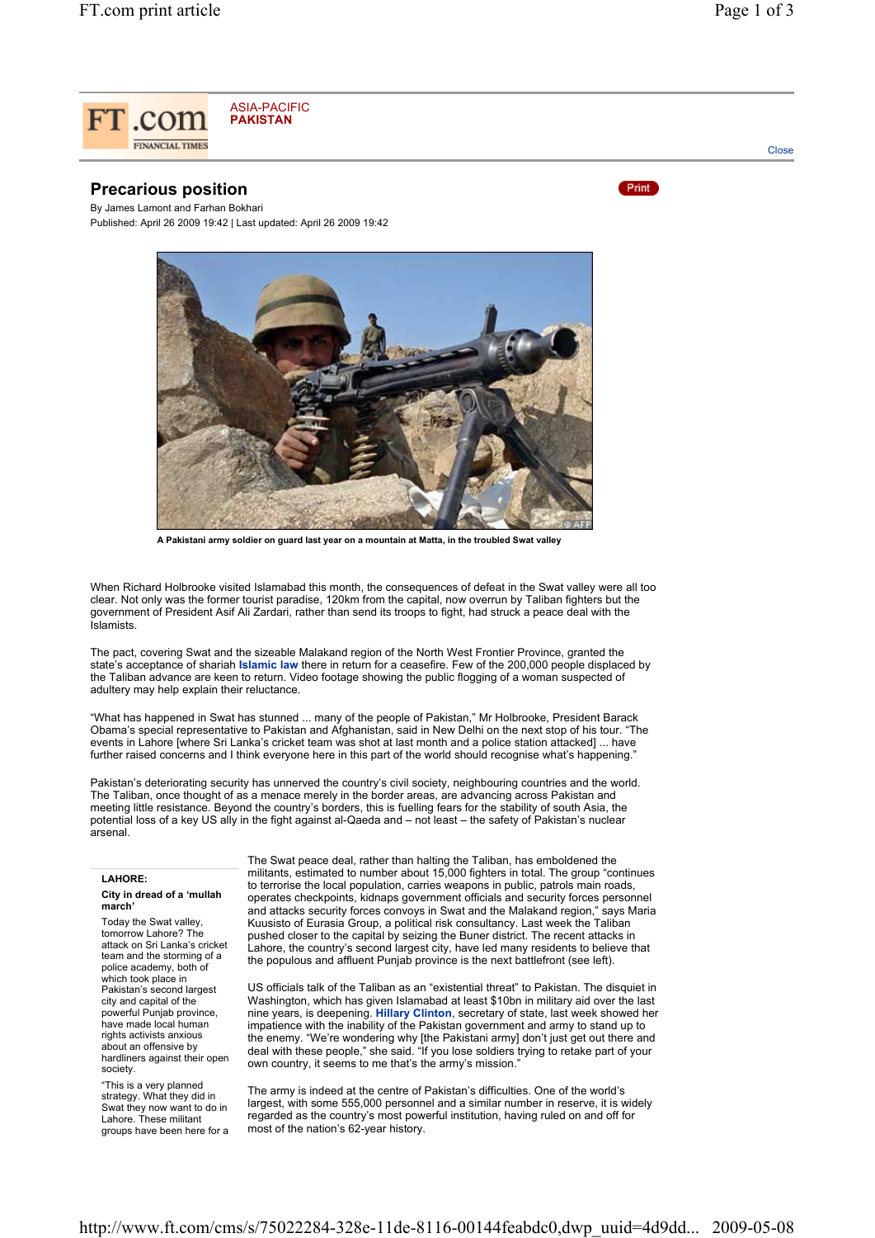

## **Precarious position**

By James Lamont and Farhan Bokhari Published: April 26 2009 19:42 | Last updated: April 26 2009 19:42



**A Pakistani army soldier on guard last year on a mountain at Matta, in the troubled Swat valley**

When Richard Holbrooke visited Islamabad this month, the consequences of defeat in the Swat valley were all too clear. Not only was the former tourist paradise, 120km from the capital, now overrun by Taliban fighters but the government of President Asif Ali Zardari, rather than send its troops to fight, had struck a peace deal with the Islamists.

The pact, covering Swat and the sizeable Malakand region of the North West Frontier Province, granted the state's acceptance of shariah **Islamic law** there in return for a ceasefire. Few of the 200,000 people displaced by the Taliban advance are keen to return. Video footage showing the public flogging of a woman suspected of adultery may help explain their reluctance.

"What has happened in Swat has stunned ... many of the people of Pakistan," Mr Holbrooke, President Barack Obama's special representative to Pakistan and Afghanistan, said in New Delhi on the next stop of his tour. "The events in Lahore [where Sri Lanka's cricket team was shot at last month and a police station attacked] ... have further raised concerns and I think everyone here in this part of the world should recognise what's happening.

Pakistan's deteriorating security has unnerved the country's civil society, neighbouring countries and the world. The Taliban, once thought of as a menace merely in the border areas, are advancing across Pakistan and meeting little resistance. Beyond the country's borders, this is fuelling fears for the stability of south Asia, the potential loss of a key US ally in the fight against al-Qaeda and – not least – the safety of Pakistan's nuclear .<br>arsenal.

## **LAHORE:**

## **City in dread of a 'mullah march'**

Today the Swat valley, tomorrow Lahore? The attack on Sri Lanka's cricket team and the storming of a police academy, both of which took place in Pakistan's second largest city and capital of the powerful Punjab province, have made local human rights activists anxious about an offensive by hardliners against their open society.

"This is a very planned strategy. What they did in Swat they now want to do in Lahore. These militant groups have been here for a

The Swat peace deal, rather than halting the Taliban, has emboldened the militants, estimated to number about 15,000 fighters in total. The group "continues to terrorise the local population, carries weapons in public, patrols main roads, operates checkpoints, kidnaps government officials and security forces personnel and attacks security forces convoys in Swat and the Malakand region," says Maria Kuusisto of Eurasia Group, a political risk consultancy. Last week the Taliban pushed closer to the capital by seizing the Buner district. The recent attacks in Lahore, the country's second largest city, have led many residents to believe that the populous and affluent Punjab province is the next battlefront (see left).

US officials talk of the Taliban as an "existential threat" to Pakistan. The disquiet in Washington, which has given Islamabad at least \$10bn in military aid over the last nine years, is deepening. **Hillary Clinton**, secretary of state, last week showed her impatience with the inability of the Pakistan government and army to stand up to the enemy. "We're wondering why [the Pakistani army] don't just get out there and deal with these people," she said. "If you lose soldiers trying to retake part of your own country, it seems to me that's the army's mission.

The army is indeed at the centre of Pakistan's difficulties. One of the world's largest, with some 555,000 personnel and a similar number in reserve, it is widely regarded as the country's most powerful institution, having ruled on and off for most of the nation's 62-year history.

**Close** 

Print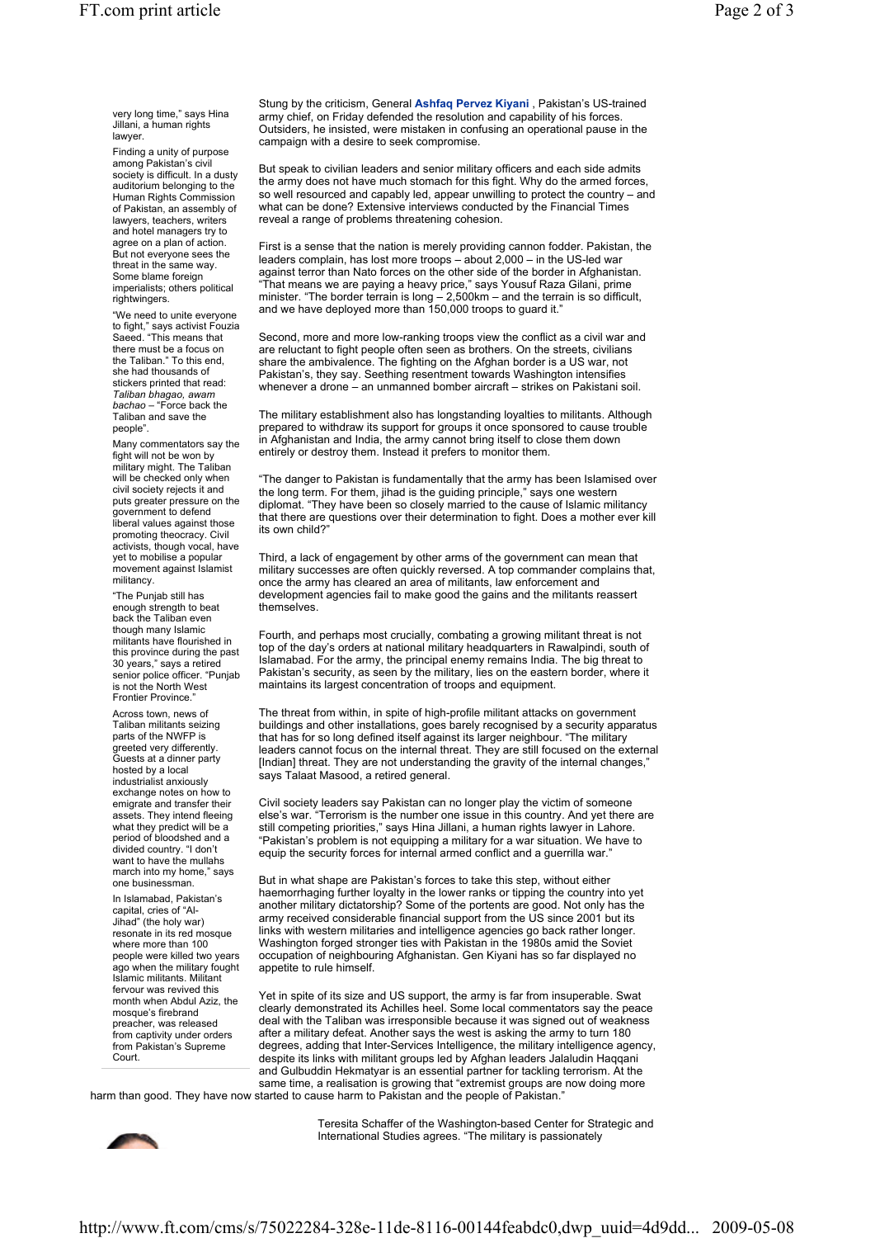very long time," says Hina Jillani, a human rights lawyer.

Finding a unity of purpose among Pakistan's civil society is difficult. In a dusty auditorium belonging to the Human Rights Commission of Pakistan, an assembly of lawyers, teachers, writers and hotel managers try to agree on a plan of action. But not everyone sees the threat in the same way. Some blame foreign imperialists; others political rightwingers.

"We need to unite everyone to fight," says activist Fouzia Saeed. "This means that there must be a focus on the Taliban." To this end, she had thousands of stickers printed that read: *Taliban bhagao, awam bachao* – "Force back the Taliban and save the people".

Many commentators say the fight will not be won by military might. The Taliban will be checked only when civil society rejects it and puts greater pressure on the government to defend liberal values against those promoting theocracy. Civil activists, though vocal, have yet to mobilise a popular movement against Islamist militancy.

"The Punjab still has enough strength to beat back the Taliban even though many Islamic militants have flourished in this province during the past 30 years," says a retired senior police officer. "Punjab is not the North West Frontier Province."

Across town, news of Taliban militants seizing parts of the NWFP is greeted very differently. Guests at a dinner party hosted by a local industrialist anxiously exchange notes on how to emigrate and transfer their assets. They intend fleeing what they predict will be a period of bloodshed and a divided country. "I don't want to have the mullahs march into my home," says one businessman.

In Islamabad, Pakistan's capital, cries of "Al-Jihad" (the holy war) resonate in its red mosque where more than 100 people were killed two years ago when the military fought Islamic militants. Militant fervour was revived this month when Abdul Aziz, the mosque's firebrand preacher, was released from captivity under orders from Pakistan's Supreme Court.

Stung by the criticism, General **Ashfaq Pervez Kiyani** , Pakistan's US-trained army chief, on Friday defended the resolution and capability of his forces. Outsiders, he insisted, were mistaken in confusing an operational pause in the campaign with a desire to seek compromise.

But speak to civilian leaders and senior military officers and each side admits the army does not have much stomach for this fight. Why do the armed forces, so well resourced and capably led, appear unwilling to protect the country – and what can be done? Extensive interviews conducted by the Financial Times reveal a range of problems threatening cohesion.

First is a sense that the nation is merely providing cannon fodder. Pakistan, the leaders complain, has lost more troops – about 2,000 – in the US-led war against terror than Nato forces on the other side of the border in Afghanistan. "That means we are paying a heavy price," says Yousuf Raza Gilani, prime minister. "The border terrain is long – 2,500km – and the terrain is so difficult, and we have deployed more than 150,000 troops to guard it."

Second, more and more low-ranking troops view the conflict as a civil war and are reluctant to fight people often seen as brothers. On the streets, civilians share the ambivalence. The fighting on the Afghan border is a US war, not Pakistan's, they say. Seething resentment towards Washington intensifies whenever a drone – an unmanned bomber aircraft – strikes on Pakistani soil.

The military establishment also has longstanding loyalties to militants. Although prepared to withdraw its support for groups it once sponsored to cause trouble in Afghanistan and India, the army cannot bring itself to close them down entirely or destroy them. Instead it prefers to monitor them.

"The danger to Pakistan is fundamentally that the army has been Islamised over the long term. For them, jihad is the guiding principle," says one western diplomat. "They have been so closely married to the cause of Islamic militancy that there are questions over their determination to fight. Does a mother ever kill its own child?

Third, a lack of engagement by other arms of the government can mean that military successes are often quickly reversed. A top commander complains that, once the army has cleared an area of militants, law enforcement and development agencies fail to make good the gains and the militants reassert themselves.

Fourth, and perhaps most crucially, combating a growing militant threat is not top of the day's orders at national military headquarters in Rawalpindi, south of Islamabad. For the army, the principal enemy remains India. The big threat to Pakistan's security, as seen by the military, lies on the eastern border, where it maintains its largest concentration of troops and equipment.

The threat from within, in spite of high-profile militant attacks on government buildings and other installations, goes barely recognised by a security apparatus that has for so long defined itself against its larger neighbour. "The military leaders cannot focus on the internal threat. They are still focused on the external [Indian] threat. They are not understanding the gravity of the internal changes, says Talaat Masood, a retired general.

Civil society leaders say Pakistan can no longer play the victim of someone else's war. "Terrorism is the number one issue in this country. And yet there are still competing priorities," says Hina Jillani, a human rights lawyer in Lahore. "Pakistan's problem is not equipping a military for a war situation. We have to equip the security forces for internal armed conflict and a guerrilla war."

But in what shape are Pakistan's forces to take this step, without either haemorrhaging further loyalty in the lower ranks or tipping the country into yet another military dictatorship? Some of the portents are good. Not only has the army received considerable financial support from the US since 2001 but its links with western militaries and intelligence agencies go back rather longer. Washington forged stronger ties with Pakistan in the 1980s amid the Soviet occupation of neighbouring Afghanistan. Gen Kiyani has so far displayed no appetite to rule himself.

Yet in spite of its size and US support, the army is far from insuperable. Swat clearly demonstrated its Achilles heel. Some local commentators say the peace deal with the Taliban was irresponsible because it was signed out of weakness after a military defeat. Another says the west is asking the army to turn 180 degrees, adding that Inter-Services Intelligence, the military intelligence agency, despite its links with militant groups led by Afghan leaders Jalaludin Haqqani and Gulbuddin Hekmatyar is an essential partner for tackling terrorism. At the same time, a realisation is growing that "extremist groups are now doing more

harm than good. They have now started to cause harm to Pakistan and the people of Pakistan."



Teresita Schaffer of the Washington-based Center for Strategic and International Studies agrees. "The military is passionately